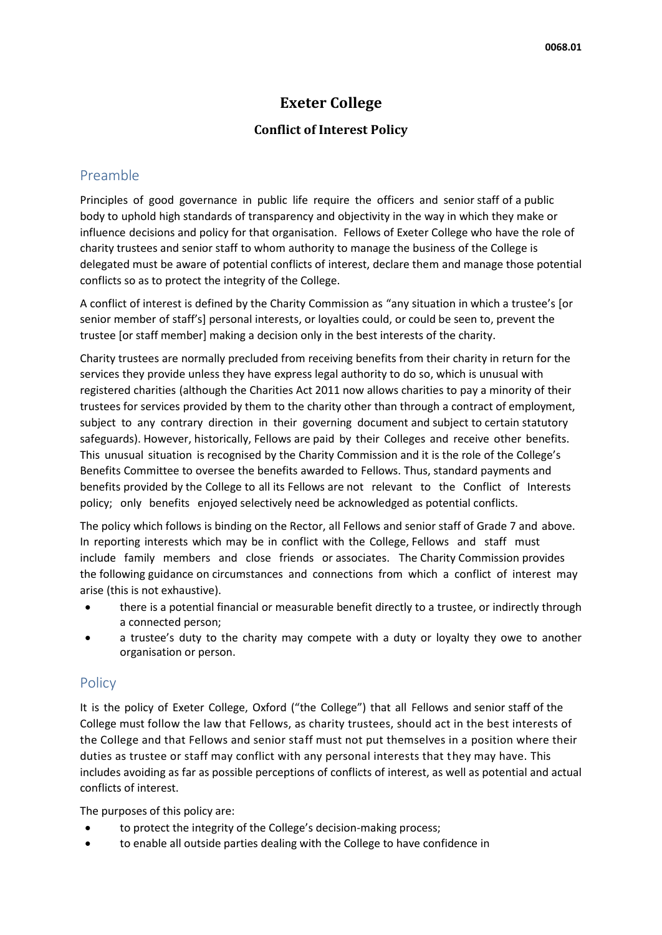# **Exeter College**

## **Conflict of Interest Policy**

## Preamble

Principles of good governance in public life require the officers and senior staff of a public body to uphold high standards of transparency and objectivity in the way in which they make or influence decisions and policy for that organisation. Fellows of Exeter College who have the role of charity trustees and senior staff to whom authority to manage the business of the College is delegated must be aware of potential conflicts of interest, declare them and manage those potential conflicts so as to protect the integrity of the College.

A conflict of interest is defined by the Charity Commission as "any situation in which a trustee's [or senior member of staff's] personal interests, or loyalties could, or could be seen to, prevent the trustee [or staff member] making a decision only in the best interests of the charity.

Charity trustees are normally precluded from receiving benefits from their charity in return for the services they provide unless they have express legal authority to do so, which is unusual with registered charities (although the Charities Act 2011 now allows charities to pay a minority of their trustees for services provided by them to the charity other than through a contract of employment, subject to any contrary direction in their governing document and subject to certain statutory safeguards). However, historically, Fellows are paid by their Colleges and receive other benefits. This unusual situation is recognised by the Charity Commission and it is the role of the College's Benefits Committee to oversee the benefits awarded to Fellows. Thus, standard payments and benefits provided by the College to all its Fellows are not relevant to the Conflict of Interests policy; only benefits enjoyed selectively need be acknowledged as potential conflicts.

The policy which follows is binding on the Rector, all Fellows and senior staff of Grade 7 and above. In reporting interests which may be in conflict with the College, Fellows and staff must include family members and close friends or associates. The Charity Commission provides the following guidance on circumstances and connections from which a conflict of interest may arise (this is not exhaustive).

- there is a potential financial or measurable benefit directly to a trustee, or indirectly through a connected person;
- a trustee's duty to the charity may compete with a duty or loyalty they owe to another organisation or person.

## **Policy**

It is the policy of Exeter College, Oxford ("the College") that all Fellows and senior staff of the College must follow the law that Fellows, as charity trustees, should act in the best interests of the College and that Fellows and senior staff must not put themselves in a position where their duties as trustee or staff may conflict with any personal interests that they may have. This includes avoiding as far as possible perceptions of conflicts of interest, as well as potential and actual conflicts of interest.

The purposes of this policy are:

- to protect the integrity of the College's decision-making process;
- to enable all outside parties dealing with the College to have confidence in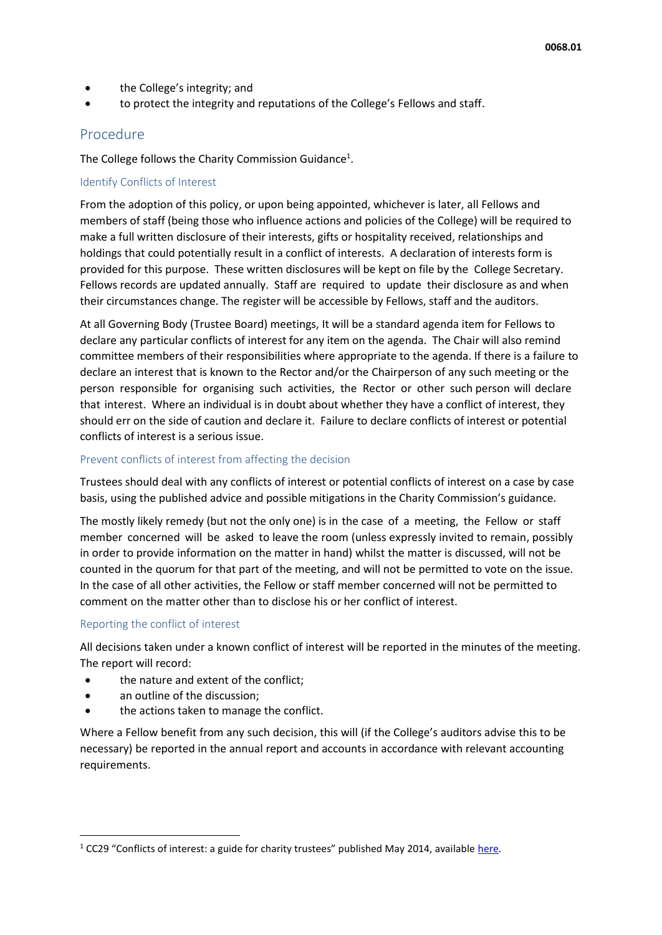- the College's integrity; and
- to protect the integrity and reputations of the College's Fellows and staff.

### Procedure

The College follows the Charity Commission Guidance<sup>1</sup>.

#### Identify Conflicts of Interest

From the adoption of this policy, or upon being appointed, whichever is later, all Fellows and members of staff (being those who influence actions and policies of the College) will be required to make a full written disclosure of their interests, gifts or hospitality received, relationships and holdings that could potentially result in a conflict of interests. A declaration of interests form is provided for this purpose. These written disclosures will be kept on file by the College Secretary. Fellows records are updated annually. Staff are required to update their disclosure as and when their circumstances change. The register will be accessible by Fellows, staff and the auditors.

At all Governing Body (Trustee Board) meetings, It will be a standard agenda item for Fellows to declare any particular conflicts of interest for any item on the agenda. The Chair will also remind committee members of their responsibilities where appropriate to the agenda. If there is a failure to declare an interest that is known to the Rector and/or the Chairperson of any such meeting or the person responsible for organising such activities, the Rector or other such person will declare that interest. Where an individual is in doubt about whether they have a conflict of interest, they should err on the side of caution and declare it. Failure to declare conflicts of interest or potential conflicts of interest is a serious issue.

#### Prevent conflicts of interest from affecting the decision

Trustees should deal with any conflicts of interest or potential conflicts of interest on a case by case basis, using the published advice and possible mitigations in the Charity Commission's guidance.

The mostly likely remedy (but not the only one) is in the case of a meeting, the Fellow or staff member concerned will be asked to leave the room (unless expressly invited to remain, possibly in order to provide information on the matter in hand) whilst the matter is discussed, will not be counted in the quorum for that part of the meeting, and will not be permitted to vote on the issue. In the case of all other activities, the Fellow or staff member concerned will not be permitted to comment on the matter other than to disclose his or her conflict of interest.

#### Reporting the conflict of interest

All decisions taken under a known conflict of interest will be reported in the minutes of the meeting. The report will record:

- the nature and extent of the conflict;
- an outline of the discussion;

1

the actions taken to manage the conflict.

Where a Fellow benefit from any such decision, this will (if the College's auditors advise this to be necessary) be reported in the annual report and accounts in accordance with relevant accounting requirements.

 $1$  CC29 "Conflicts of interest: a guide for charity trustees" published May 2014, available [here.](https://assets.publishing.service.gov.uk/government/uploads/system/uploads/attachment_data/file/636091/CC29.pdf)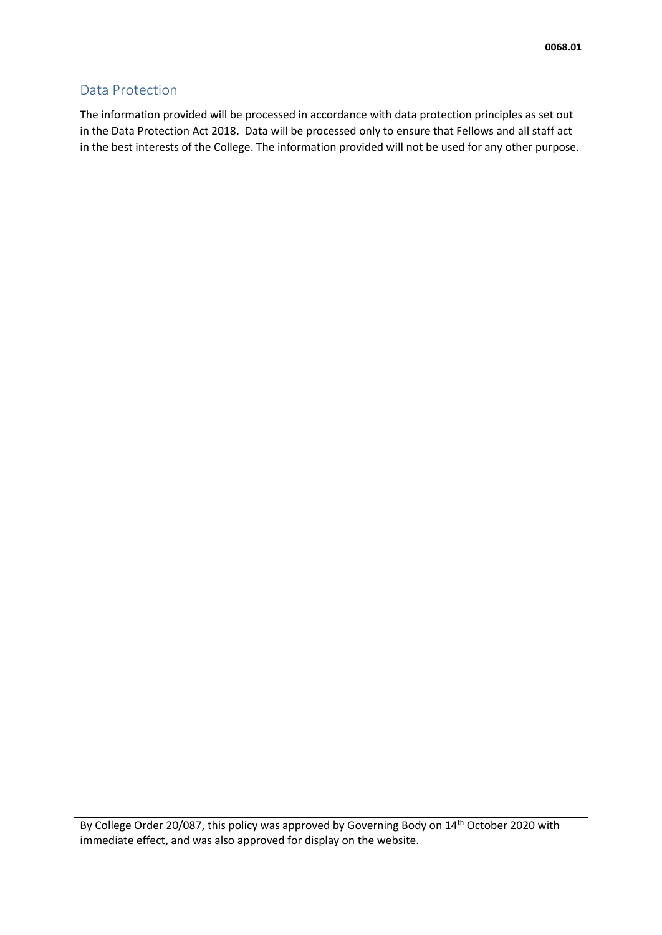## Data Protection

The information provided will be processed in accordance with data protection principles as set out in the Data Protection Act 2018. Data will be processed only to ensure that Fellows and all staff act in the best interests of the College. The information provided will not be used for any other purpose.

By College Order 20/087, this policy was approved by Governing Body on 14<sup>th</sup> October 2020 with immediate effect, and was also approved for display on the website.